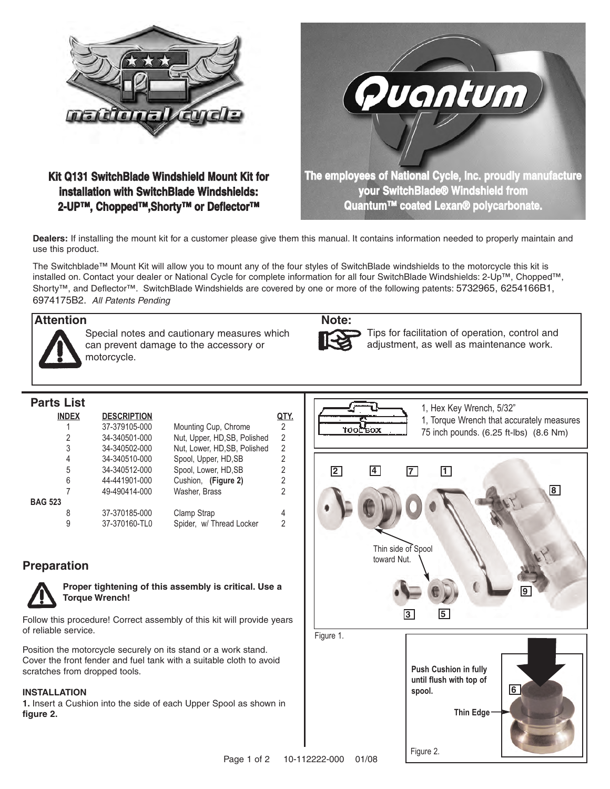

# **Kit Q131 SwitchBlade Windshield Mount Kit for installation with SwitchBlade Windshields: 2-UP™, Chopped™,Shorty™ or Deflector™**



**Dealers:** If installing the mount kit for a customer please give them this manual. It contains information needed to properly maintain and use this product.

The Switchblade™ Mount Kit will allow you to mount any of the four styles of SwitchBlade windshields to the motorcycle this kit is installed on. Contact your dealer or National Cycle for complete information for all four SwitchBlade Windshields: 2-Up™, Chopped™, Shorty™, and Deflector™. SwitchBlade Windshields are covered by one or more of the following patents: 5732965, 6254166B1, 6974175B2. All Patents Pending

### **Attention Note:**



Special notes and cautionary measures which can prevent damage to the accessory or motorcycle.



Tips for facilitation of operation, control and adjustment, as well as maintenance work.

# **Parts List**

|                | <b>INDEX</b> | <b>DESCRIPTION</b> |                             |                |
|----------------|--------------|--------------------|-----------------------------|----------------|
|                |              | 37-379105-000      | Mounting Cup, Chrome        | 2              |
|                | 2            | 34-340501-000      | Nut, Upper, HD,SB, Polished | 2              |
|                | 3            | 34-340502-000      | Nut, Lower, HD,SB, Polished | $\overline{2}$ |
|                | 4            | 34-340510-000      | Spool, Upper, HD, SB        | 2              |
|                | 5            | 34-340512-000      | Spool, Lower, HD, SB        | 2              |
|                | 6            | 44-441901-000      | Cushion, (Figure 2)         | 2              |
|                | 7            | 49-490414-000      | Washer, Brass               | 2              |
| <b>BAG 523</b> |              |                    |                             |                |
|                | 8            | 37-370185-000      | Clamp Strap                 | 4              |
|                | 9            | 37-370160-TL0      | Spider, w/ Thread Locker    | 2              |

## **Preparation**



**Proper tightening of this assembly is critical. Use a Torque Wrench!** 

Follow this procedure! Correct assembly of this kit will provide years of reliable service.

Position the motorcycle securely on its stand or a work stand. Cover the front fender and fuel tank with a suitable cloth to avoid scratches from dropped tools.

### **INSTALLATION**

**1.** Insert a Cushion into the side of each Upper Spool as shown in **figure 2.**